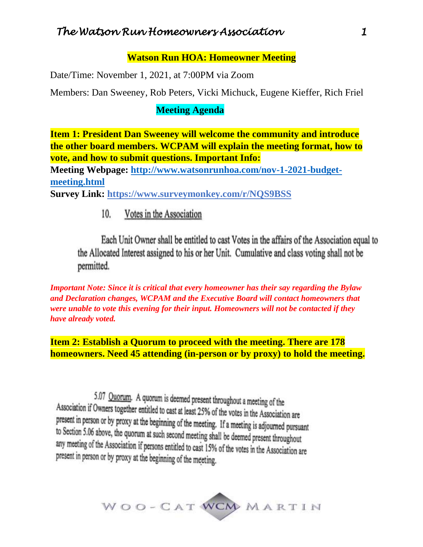# *The Watson Run Homeowners Association 1*

#### **Watson Run HOA: Homeowner Meeting**

Date/Time: November 1, 2021, at 7:00PM via Zoom

Members: Dan Sweeney, Rob Peters, Vicki Michuck, Eugene Kieffer, Rich Friel

#### **Meeting Agenda**

**Item 1: President Dan Sweeney will welcome the community and introduce the other board members. WCPAM will explain the meeting format, how to vote, and how to submit questions. Important Info:**

**Meeting Webpage: [http://www.watsonrunhoa.com/nov-1-2021-budget](http://www.watsonrunhoa.com/nov-1-2021-budget-meeting.html)[meeting.html](http://www.watsonrunhoa.com/nov-1-2021-budget-meeting.html)**

**Survey Link: https://www.surveymonkey.com/r/NQS9BSS**

Votes in the Association 10.

Each Unit Owner shall be entitled to cast Votes in the affairs of the Association equal to the Allocated Interest assigned to his or her Unit. Cumulative and class voting shall not be permitted.

*Important Note: Since it is critical that every homeowner has their say regarding the Bylaw and Declaration changes, WCPAM and the Executive Board will contact homeowners that were unable to vote this evening for their input. Homeowners will not be contacted if they have already voted.* 

**Item 2: Establish a Quorum to proceed with the meeting. There are 178 homeowners. Need 45 attending (in-person or by proxy) to hold the meeting.**

5.07 Quorum. A quorum is deemed present throughout a meeting of the Association if Owners together entitled to cast at least 25% of the votes in the Association are present in person or by proxy at the beginning of the meeting. If a meeting is adjourned pursuant to Section 5.06 above, the quorum at such second meeting shall be deemed present throughout any meeting of the Association if persons entitled to cast 15% of the votes in the Association are present in person or by proxy at the beginning of the meeting.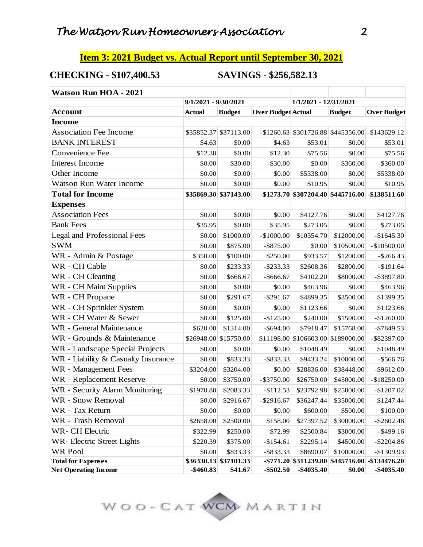#### **Item 3: 2021 Budget vs. Actual Report until September 30, 2021**

## **CHECKING - \$107,400.53 SAVINGS - \$256,582.13**

| <b>Watson Run HOA - 2021</b>        |                      |                       |                           |                          |               |                                                     |
|-------------------------------------|----------------------|-----------------------|---------------------------|--------------------------|---------------|-----------------------------------------------------|
|                                     | 9/1/2021 - 9/30/2021 |                       |                           | 1/1/2021 - 12/31/2021    |               |                                                     |
| <b>Account</b>                      | <b>Actual</b>        | <b>Budget</b>         | <b>Over Budget Actual</b> |                          | <b>Budget</b> | <b>Over Budget</b>                                  |
| <b>Income</b>                       |                      |                       |                           |                          |               |                                                     |
| <b>Association Fee Income</b>       |                      | \$35852.37 \$37113.00 |                           |                          |               | $-$ \$1260.63 \$301726.88 \$445356.00 - \$143629.12 |
| <b>BANK INTEREST</b>                | \$4.63               | \$0.00                | \$4.63                    | \$53.01                  | \$0.00        | \$53.01                                             |
| Convenience Fee                     | \$12.30              | \$0.00                | \$12.30                   | \$75.56                  | \$0.00        | \$75.56                                             |
| Interest Income                     | \$0.00               | \$30.00               | $-$ \$30.00               | \$0.00                   | \$360.00      | $-$ \$360.00                                        |
| Other Income                        | \$0.00               | \$0.00                | \$0.00                    | \$5338.00                | \$0.00        | \$5338.00                                           |
| <b>Watson Run Water Income</b>      | \$0.00               | \$0.00                | \$0.00                    | \$10.95                  | \$0.00        | \$10.95                                             |
| <b>Total for Income</b>             |                      | \$35869.30 \$37143.00 |                           |                          |               | -\$1273.70 \$307204.40 \$445716.00 -\$138511.60     |
| <b>Expenses</b>                     |                      |                       |                           |                          |               |                                                     |
| <b>Association Fees</b>             | \$0.00               | \$0.00                | \$0.00                    | \$4127.76                | \$0.00        | \$4127.76                                           |
| <b>Bank Fees</b>                    | \$35.95              | \$0.00                | \$35.95                   | \$273.05                 | \$0.00        | \$273.05                                            |
| <b>Legal and Professional Fees</b>  | \$0.00               | \$1000.00             | $-$1000.00$               | \$10354.70               | \$12000.00    | $-$1645.30$                                         |
| <b>SWM</b>                          | \$0.00               | \$875.00              | $-$ \$875.00              | \$0.00                   | \$10500.00    | $-$10500.00$                                        |
| WR - Admin & Postage                | \$350.00             | \$100.00              | \$250.00                  | \$933.57                 | \$1200.00     | $-$ \$266.43                                        |
| WR - CH Cable                       | \$0.00               | \$233.33              | $-$ \$233.33              | \$2608.36                | \$2800.00     | $-$191.64$                                          |
| WR - CH Cleaning                    | \$0.00               | \$666.67              | $-$ \$666.67              | \$4102.20                | \$8000.00     | $-$ \$3897.80                                       |
| WR - CH Maint Supplies              | \$0.00               | \$0.00                | \$0.00                    | \$463.96                 | \$0.00        | \$463.96                                            |
| WR - CH Propane                     | \$0.00               | \$291.67              | $-$ \$291.67              | \$4899.35                | \$3500.00     | \$1399.35                                           |
| WR - CH Sprinkler System            | \$0.00               | \$0.00                | \$0.00                    | \$1123.66                | \$0.00        | \$1123.66                                           |
| WR - CH Water & Sewer               | \$0.00               | \$125.00              | $-$125.00$                | \$240.00                 | \$1500.00     | $-$1260.00$                                         |
| WR - General Maintenance            | \$620.00             | \$1314.00             | $-$ \$694.00              | \$7918.47                | \$15768.00    | $-$ \$7849.53                                       |
| WR - Grounds & Maintenance          |                      | \$26948.00 \$15750.00 |                           | \$11198.00 \$106603.00   | \$189000.00   | -\$82397.00                                         |
| WR - Landscape Special Projects     | \$0.00               | \$0.00                | \$0.00                    | \$1048.49                | \$0.00        | \$1048.49                                           |
| WR - Liability & Casualty Insurance | \$0.00               | \$833.33              | $-$ \$833.33              | \$9433.24                | \$10000.00    | $-$ \$566.76                                        |
| WR - Management Fees                | \$3204.00            | \$3204.00             | \$0.00                    | \$28836.00               | \$38448.00    | $-$ \$9612.00                                       |
| WR - Replacement Reserve            | \$0.00               | \$3750.00             | $-$ \$3750.00             | \$26750.00               | \$45000.00    | $-$18250.00$                                        |
| WR - Security Alarm Monitoring      | \$1970.80            | \$2083.33             | $-$112.53$                | \$23792.98               | \$25000.00    | $-$1207.02$                                         |
| WR - Snow Removal                   | \$0.00               | \$2916.67             | $-$ \$2916.67             | \$36247.44               | \$35000.00    | \$1247.44                                           |
| WR - Tax Return                     | \$0.00               | \$0.00                | \$0.00                    | \$600.00                 | \$500.00      | \$100.00                                            |
| WR - Trash Removal                  | \$2658.00            | \$2500.00             | \$158.00                  | \$27397.52               | \$30000.00    | $-$ \$2602.48                                       |
| WR- CH Electric                     | \$322.99             | \$250.00              | \$72.99                   | \$2500.84                | \$3000.00     | $-$ \$499.16                                        |
| WR-Electric Street Lights           | \$220.39             | \$375.00              | $-$154.61$                | \$2295.14                | \$4500.00     | $-$ \$2204.86                                       |
| <b>WR Pool</b>                      | \$0.00               | \$833.33              | $-$ \$833.33              | \$8690.07                | \$10000.00    | $-$1309.93$                                         |
| <b>Total for Expenses</b>           |                      | \$36330.13 \$37101.33 |                           | $-$ \$771.20 \$311239.80 |               | $$445716.00$ -\$134476.20                           |
| <b>Net Operating Income</b>         | $-$ \$460.83         | \$41.67               | $-$ \$502.50              | -\$4035.40               | \$0.00        | $-$ \$4035.40                                       |

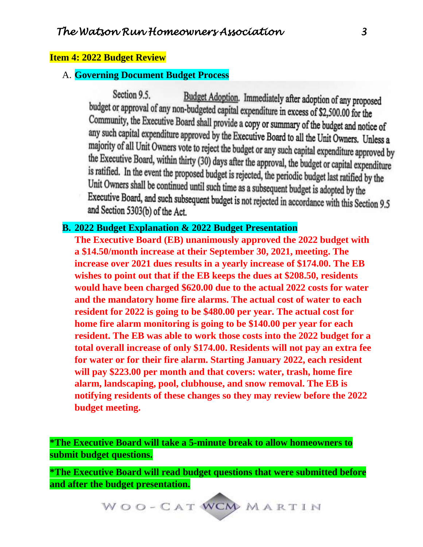#### **Item 4: 2022 Budget Review**

#### A. **Governing Document Budget Process**

Section 9.5. Budget Adoption. Immediately after adoption of any proposed budget or approval of any non-budgeted capital expenditure in excess of \$2,500.00 for the Community, the Executive Board shall provide a copy or summary of the budget and notice of any such capital expenditure approved by the Executive Board to all the Unit Owners. Unless a majority of all Unit Owners vote to reject the budget or any such capital expenditure approved by the Executive Board, within thirty (30) days after the approval, the budget or capital expenditure is ratified. In the event the proposed budget is rejected, the periodic budget last ratified by the Unit Owners shall be continued until such time as a subsequent budget is adopted by the Executive Board, and such subsequent budget is not rejected in accordance with this Section 9.5<br>and Section 5202(b) of the district of the district of the district of the district of the district of the district of the dis and Section 5303(b) of the Act.

## **B. 2022 Budget Explanation & 2022 Budget Presentation**

**The Executive Board (EB) unanimously approved the 2022 budget with a \$14.50/month increase at their September 30, 2021, meeting. The increase over 2021 dues results in a yearly increase of \$174.00. The EB wishes to point out that if the EB keeps the dues at \$208.50, residents would have been charged \$620.00 due to the actual 2022 costs for water and the mandatory home fire alarms. The actual cost of water to each resident for 2022 is going to be \$480.00 per year. The actual cost for home fire alarm monitoring is going to be \$140.00 per year for each resident. The EB was able to work those costs into the 2022 budget for a total overall increase of only \$174.00. Residents will not pay an extra fee for water or for their fire alarm. Starting January 2022, each resident will pay \$223.00 per month and that covers: water, trash, home fire alarm, landscaping, pool, clubhouse, and snow removal. The EB is notifying residents of these changes so they may review before the 2022 budget meeting.**

**\*The Executive Board will take a 5-minute break to allow homeowners to submit budget questions.** 

**\*The Executive Board will read budget questions that were submitted before and after the budget presentation.**

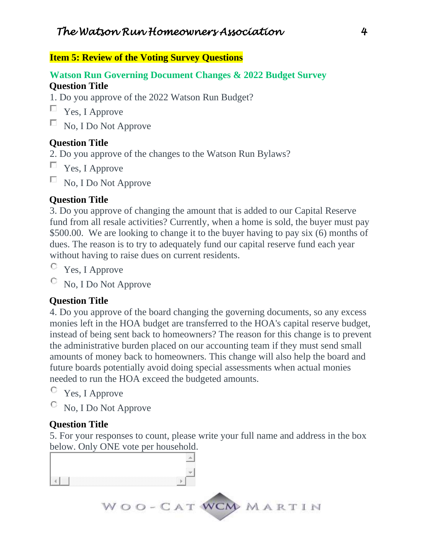## **Item 5: Review of the Voting Survey Questions**

## **Watson Run Governing Document Changes & 2022 Budget Survey Question Title**

1. Do you approve of the 2022 Watson Run Budget?

- $\Box$  Yes, I Approve
- $\Box$  No, I Do Not Approve

## **Question Title**

- 2. Do you approve of the changes to the Watson Run Bylaws?
- $\Box$  Yes, I Approve

 $\Box$  No, I Do Not Approve

#### **Question Title**

3. Do you approve of changing the amount that is added to our Capital Reserve fund from all resale activities? Currently, when a home is sold, the buyer must pay \$500.00. We are looking to change it to the buyer having to pay six (6) months of dues. The reason is to try to adequately fund our capital reserve fund each year without having to raise dues on current residents.

- Yes, I Approve
- No, I Do Not Approve

## **Question Title**

4. Do you approve of the board changing the governing documents, so any excess monies left in the HOA budget are transferred to the HOA's capital reserve budget, instead of being sent back to homeowners? The reason for this change is to prevent the administrative burden placed on our accounting team if they must send small amounts of money back to homeowners. This change will also help the board and future boards potentially avoid doing special assessments when actual monies needed to run the HOA exceed the budgeted amounts.

- О. Yes, I Approve
- No, I Do Not Approve O

## **Question Title**

5. For your responses to count, please write your full name and address in the box below. Only ONE vote per household.

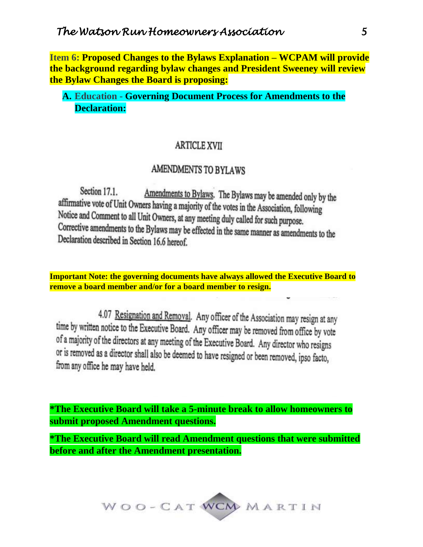**Item 6: Proposed Changes to the Bylaws Explanation – WCPAM will provide the background regarding bylaw changes and President Sweeney will review the Bylaw Changes the Board is proposing:**

## **A. Education - Governing Document Process for Amendments to the Declaration:**

#### **ARTICLE XVII**

# AMENDMENTS TO BYLAWS

Section 17.1. Amendments to Bylaws. The Bylaws may be amended only by the affirmative vote of Unit Owners having a majority of the votes in the Association, following Notice and Comment to all Unit Owners, at any meeting duly called for such purpose. Corrective amendments to the Bylaws may be effected in the same manner as amendments to the Declaration described in Section 16.6 hereof.

**Important Note: the governing documents have always allowed the Executive Board to remove a board member and/or for a board member to resign.**

4.07 Resignation and Removal. Any officer of the Association may resign at any time by written notice to the Executive Board. Any officer may be removed from office by vote of a majority of the directors at any meeting of the Executive Board. Any director who resigns or is removed as a director shall also be deemed to have resigned or been removed, ipso facto, from any office he may have held.

**\*The Executive Board will take a 5-minute break to allow homeowners to submit proposed Amendment questions.**

**\*The Executive Board will read Amendment questions that were submitted before and after the Amendment presentation.**

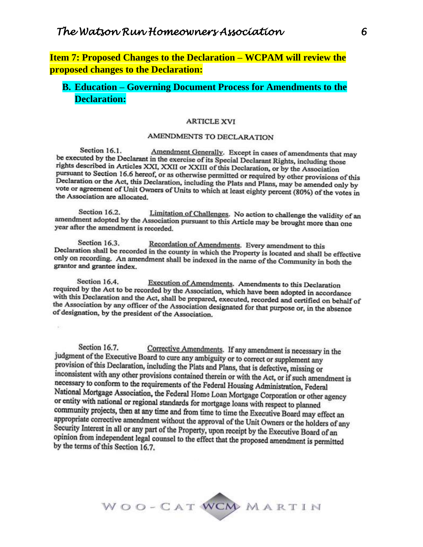**Item 7: Proposed Changes to the Declaration – WCPAM will review the proposed changes to the Declaration:**

## **B. Education – Governing Document Process for Amendments to the Declaration:**

#### **ARTICLE XVI**

#### AMENDMENTS TO DECLARATION

Section 16.1. Amendment Generally. Except in cases of amendments that may be executed by the Declarant in the exercise of its Special Declarant Rights, including those rights described in Articles XXI, XXII or XXIII of this Declaration, or by the Association pursuant to Section 16.6 hereof, or as otherwise permitted or required by other provisions of this<br>Declaration or the Association Declaration or the Act, this Declaration, including the Plats and Plans, may be amended only by vote or agreement of Unit Owners of Units to which at least eighty percent (80%) of the votes in the Association are allocated.

Section 16.2. Limitation of Challenges. No action to challenge the validity of an amendment adopted by the Association pursuant to this Article may be brought more than one year after the amendment is recorded.

Section 16.3. Recordation of Amendments. Every amendment to this Declaration shall be recorded in the county in which the Property is located and shall be effective<br>only on recording. An among the month which the Property is located and shall be effective only on recording. An amendment shall be indexed in the name of the Community in both the grantor and grantee index.

Execution of Amendments. Amendments to this Declaration Section 16.4. required by the Act to be recorded by the Association, which have been adopted in accordance with this Declaration and the Act, shall be prepared, executed, recorded and certified on behalf of the Association by any officer of the Association designated for that purpose or, in the absence of designation, by the president of the Association.

Section 16.7. Corrective Amendments. If any amendment is necessary in the judgment of the Executive Board to cure any ambiguity or to correct or supplement any provision of this Declaration, including the Plats and Plans, that is defective, missing or inconsistent with any other provisions contained therein or with the Act, or if such amendment is necessary to conform to the requirements of the Federal Housing Administration, Federal National Mortgage Association, the Federal Home Loan Mortgage Corporation or other agency or entity with national or regional standards for mortgage loans with respect to planned community projects, then at any time and from time to time the Executive Board may effect an appropriate corrective amendment without the approval of the Unit Owners or the holders of any Security Interest in all or any part of the Property, upon receipt by the Executive Board of an opinion from independent legal counsel to the effect that the proposed amendment is permitted by the terms of this Section 16.7.

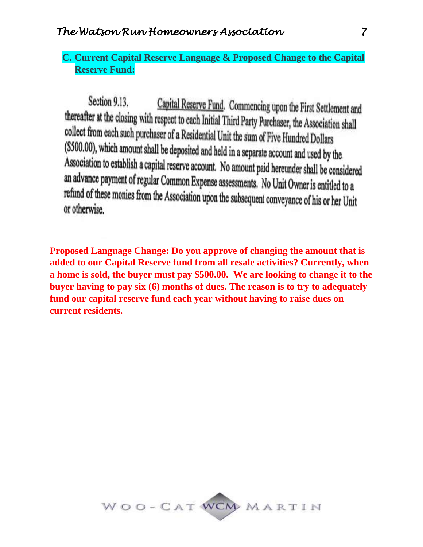## **C. Current Capital Reserve Language & Proposed Change to the Capital Reserve Fund:**

Section 9.13. Capital Reserve Fund. Commencing upon the First Settlement and thereafter at the closing with respect to each Initial Third Party Purchaser, the Association shall collect from each such purchaser of a Residential Unit the sum of Five Hundred Dollars (\$500.00), which amount shall be deposited and held in a separate account and used by the Association to establish a capital reserve account. No amount paid hereunder shall be considered an advance payment of regular Common Expense assessments. No Unit Owner is entitled to a refund of these monies from the Association upon the subsequent conveyance of his or her Unit or otherwise.

**Proposed Language Change: Do you approve of changing the amount that is added to our Capital Reserve fund from all resale activities? Currently, when a home is sold, the buyer must pay \$500.00. We are looking to change it to the buyer having to pay six (6) months of dues. The reason is to try to adequately fund our capital reserve fund each year without having to raise dues on current residents.**

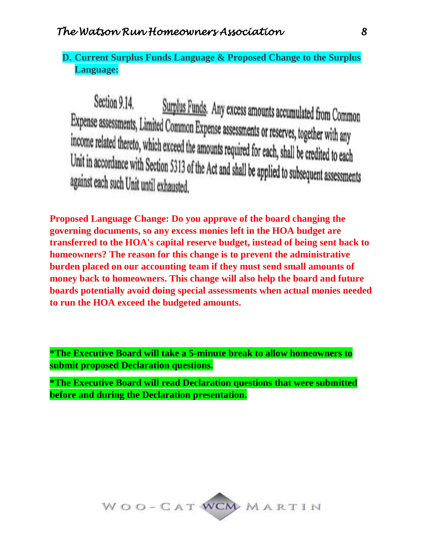# **D. Current Surplus Funds Language & Proposed Change to the Surplus Language:**

Section 9.14. Surplus Funds. Any excess amounts accumulated from Common Expense assessments, Limited Common Expense assessments or reserves, together with any<br>income related thereto, which expend the music is the server with any income related thereto, which exceed the amounts required for each, shall be credited to each<br>Unit in accordance with Section 5212 of the Action 1.1 With the contract of the distribution Unit in accordance with Section 5313 of the Act and shall be applied to subsequent assessments<br>against each such Unit until exhausted against each such Unit until exhausted.

**Proposed Language Change: Do you approve of the board changing the governing documents, so any excess monies left in the HOA budget are transferred to the HOA's capital reserve budget, instead of being sent back to homeowners? The reason for this change is to prevent the administrative burden placed on our accounting team if they must send small amounts of money back to homeowners. This change will also help the board and future boards potentially avoid doing special assessments when actual monies needed to run the HOA exceed the budgeted amounts.**

**\*The Executive Board will take a 5-minute break to allow homeowners to submit proposed Declaration questions.**

**\*The Executive Board will read Declaration questions that were submitted before and during the Declaration presentation.**

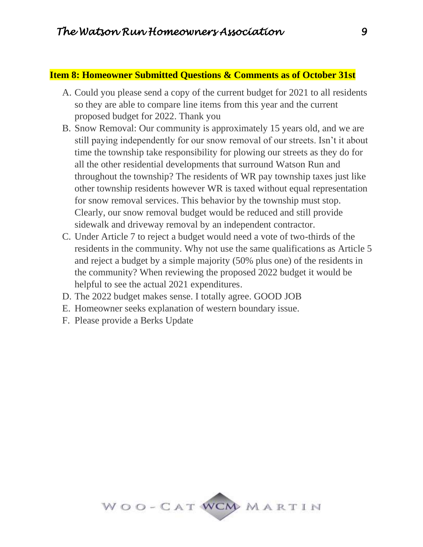#### **Item 8: Homeowner Submitted Questions & Comments as of October 31st**

- A. Could you please send a copy of the current budget for 2021 to all residents so they are able to compare line items from this year and the current proposed budget for 2022. Thank you
- B. Snow Removal: Our community is approximately 15 years old, and we are still paying independently for our snow removal of our streets. Isn't it about time the township take responsibility for plowing our streets as they do for all the other residential developments that surround Watson Run and throughout the township? The residents of WR pay township taxes just like other township residents however WR is taxed without equal representation for snow removal services. This behavior by the township must stop. Clearly, our snow removal budget would be reduced and still provide sidewalk and driveway removal by an independent contractor.
- C. Under Article 7 to reject a budget would need a vote of two-thirds of the residents in the community. Why not use the same qualifications as Article 5 and reject a budget by a simple majority (50% plus one) of the residents in the community? When reviewing the proposed 2022 budget it would be helpful to see the actual 2021 expenditures.
- D. The 2022 budget makes sense. I totally agree. GOOD JOB
- E. Homeowner seeks explanation of western boundary issue.
- F. Please provide a Berks Update